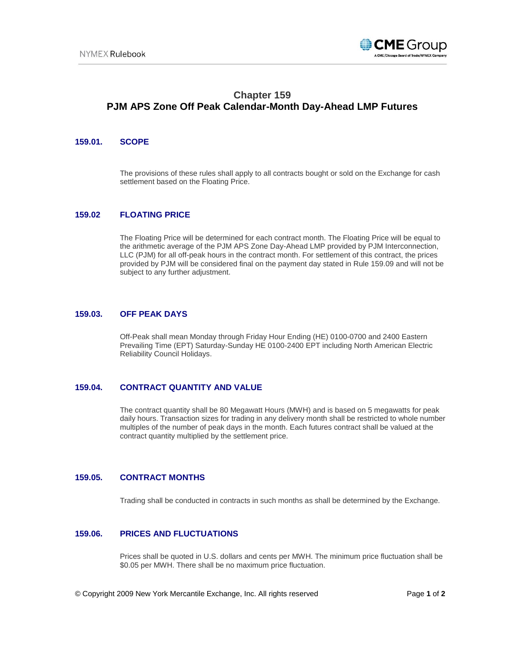

# **Chapter 159 PJM APS Zone Off Peak Calendar-Month Day-Ahead LMP Futures**

### **159.01. SCOPE**

The provisions of these rules shall apply to all contracts bought or sold on the Exchange for cash settlement based on the Floating Price.

### **159.02 FLOATING PRICE**

The Floating Price will be determined for each contract month. The Floating Price will be equal to the arithmetic average of the PJM APS Zone Day-Ahead LMP provided by PJM Interconnection, LLC (PJM) for all off-peak hours in the contract month. For settlement of this contract, the prices provided by PJM will be considered final on the payment day stated in Rule 159.09 and will not be subject to any further adjustment.

#### **159.03. OFF PEAK DAYS**

Off-Peak shall mean Monday through Friday Hour Ending (HE) 0100-0700 and 2400 Eastern Prevailing Time (EPT) Saturday-Sunday HE 0100-2400 EPT including North American Electric Reliability Council Holidays.

#### **159.04. CONTRACT QUANTITY AND VALUE**

The contract quantity shall be 80 Megawatt Hours (MWH) and is based on 5 megawatts for peak daily hours. Transaction sizes for trading in any delivery month shall be restricted to whole number multiples of the number of peak days in the month. Each futures contract shall be valued at the contract quantity multiplied by the settlement price.

# **159.05. CONTRACT MONTHS**

Trading shall be conducted in contracts in such months as shall be determined by the Exchange.

#### **159.06. PRICES AND FLUCTUATIONS**

Prices shall be quoted in U.S. dollars and cents per MWH. The minimum price fluctuation shall be \$0.05 per MWH. There shall be no maximum price fluctuation.

© Copyright 2009 New York Mercantile Exchange, Inc. All rights reserved Page **1** of **2**